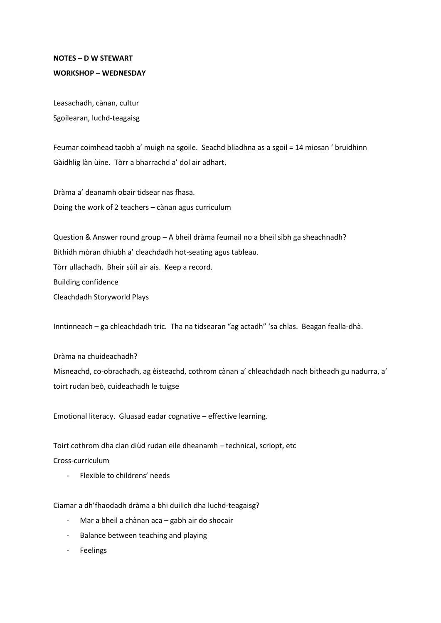## **NOTES – D W STEWART WORKSHOP – WEDNESDAY**

Leasachadh, cànan, cultur Sgoilearan, luchd-teagaisg

Feumar coimhead taobh a' muigh na sgoile. Seachd bliadhna as a sgoil = 14 miosan ' bruidhinn Gàidhlig làn ùine. Tòrr a bharrachd a' dol air adhart.

Dràma a' deanamh obair tidsear nas fhasa. Doing the work of 2 teachers – cànan agus curriculum

Question & Answer round group – A bheil dràma feumail no a bheil sibh ga sheachnadh? Bithidh mòran dhiubh a' cleachdadh hot-seating agus tableau. Tòrr ullachadh. Bheir sùil air ais. Keep a record. Building confidence Cleachdadh Storyworld Plays

Inntinneach – ga chleachdadh tric. Tha na tidsearan "ag actadh" 'sa chlas. Beagan fealla-dhà.

Dràma na chuideachadh? Misneachd, co-obrachadh, ag èisteachd, cothrom cànan a' chleachdadh nach bitheadh gu nadurra, a' toirt rudan beò, cuideachadh le tuigse

Emotional literacy. Gluasad eadar cognative – effective learning.

Toirt cothrom dha clan diùd rudan eile dheanamh – technical, scriopt, etc

Cross-curriculum

Flexible to childrens' needs

Ciamar a dh'fhaodadh dràma a bhi duilich dha luchd-teagaisg?

- Mar a bheil a chànan aca gabh air do shocair
- Balance between teaching and playing
- Feelings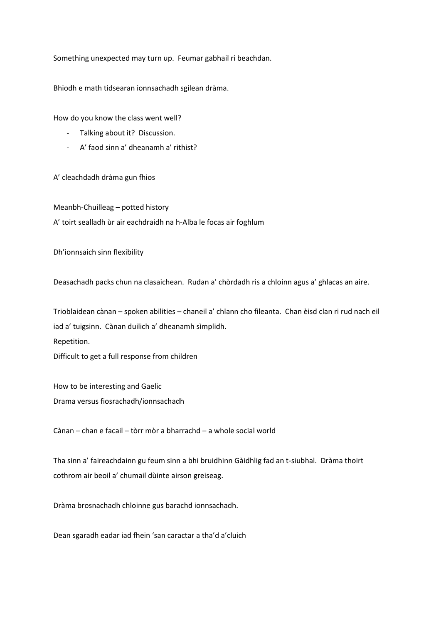Something unexpected may turn up. Feumar gabhail ri beachdan.

Bhiodh e math tidsearan ionnsachadh sgilean dràma.

How do you know the class went well?

- Talking about it? Discussion.
- A' faod sinn a' dheanamh a' rithist?

A' cleachdadh dràma gun fhios

Meanbh-Chuilleag – potted history A' toirt sealladh ùr air eachdraidh na h-Alba le focas air foghlum

Dh'ionnsaich sinn flexibility

Deasachadh packs chun na clasaichean. Rudan a' chòrdadh ris a chloinn agus a' ghlacas an aire.

Trioblaidean cànan – spoken abilities – chaneil a' chlann cho fileanta. Chan èisd clan ri rud nach eil iad a' tuigsinn. Cànan duilich a' dheanamh sìmplidh. Repetition. Difficult to get a full response from children

How to be interesting and Gaelic Drama versus fiosrachadh/ionnsachadh

Cànan – chan e facail – tòrr mòr a bharrachd – a whole social world

Tha sinn a' faireachdainn gu feum sinn a bhi bruidhinn Gàidhlig fad an t-siubhal. Dràma thoirt cothrom air beoil a' chumail dùinte airson greiseag.

Dràma brosnachadh chloinne gus barachd ionnsachadh.

Dean sgaradh eadar iad fhein 'san caractar a tha'd a'cluich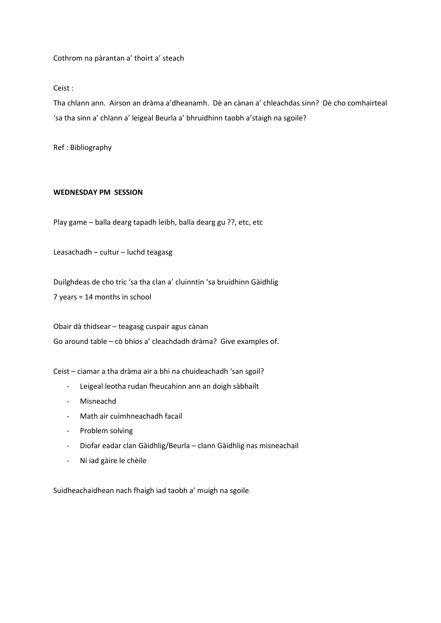Cothrom na pàrantan a' thoirt a' steach

Ceist :

Tha chlann ann. Airson an dràma a'dheanamh. Dè an cànan a' chleachdas sinn? Dè cho comhairteal 'sa tha sinn a' chlann a' leigeal Beurla a' bhruidhinn taobh a'staigh na sgoile?

Ref : Bibliography

## **WEDNESDAY PM SESSION**

Play game – balla dearg tapadh leibh, balla dearg gu ??, etc, etc

Leasachadh – cultur – luchd teagasg

Duilghdeas de cho tric 'sa tha clan a' cluinntin 'sa bruidhinn Gàidhlig 7 years = 14 months in school

Obair dà thidsear – teagasg cuspair agus cànan Go around table – cò bhios a' cleachdadh dràma? Give examples of.

Ceist – ciamar a tha dràma air a bhi na chuideachadh 'san sgoil?

- Leigeal leotha rudan fheucahinn ann an doigh sàbhailt
- **Misneachd**
- Math air cuimhneachadh facail
- Problem solving
- Diofar eadar clan Gàidhlig/Beurla clann Gàidhlig nas misneachail
- Ni iad gàire le chèile

Suidheachaidhean nach fhaigh iad taobh a' muigh na sgoile